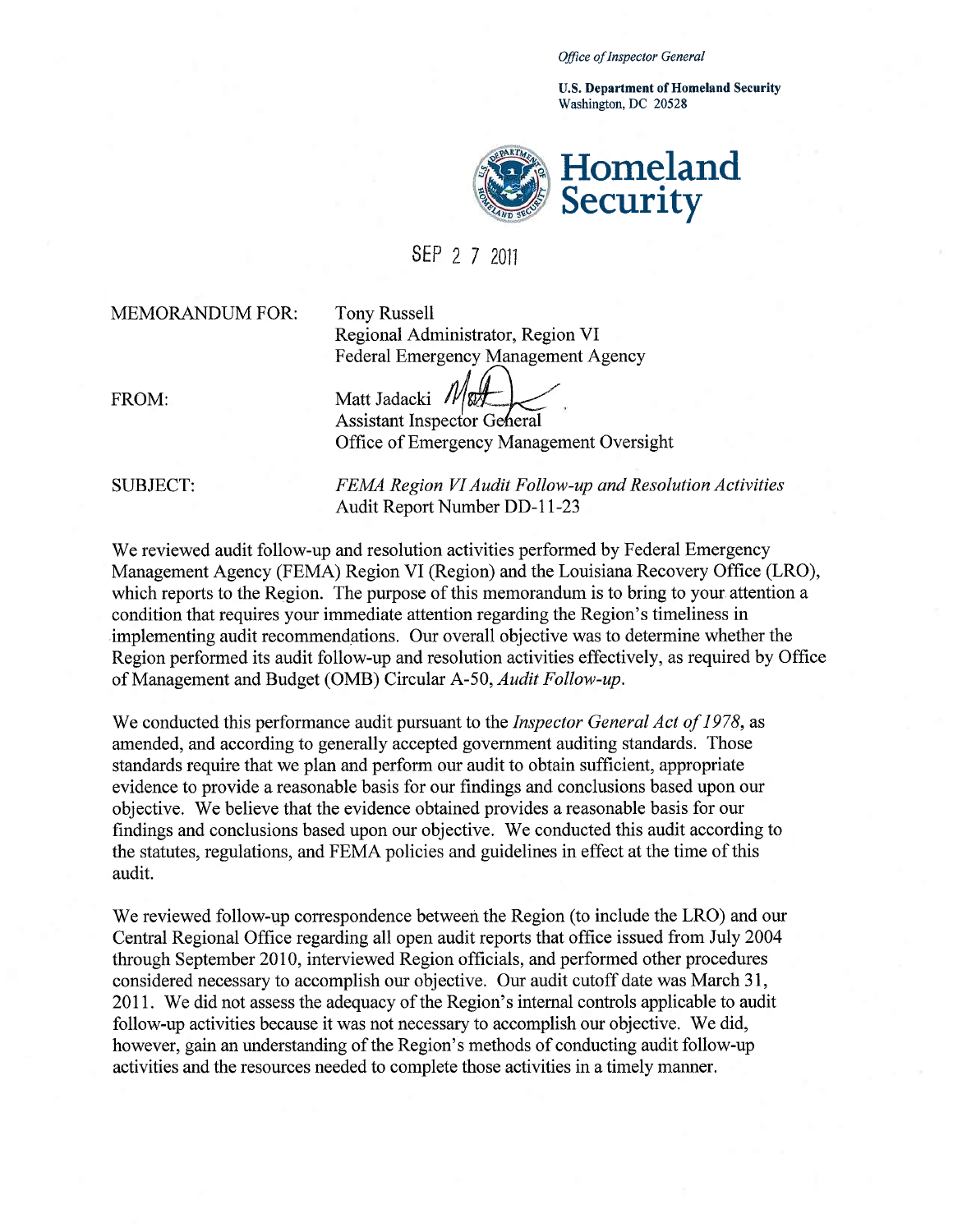*Office of Inspector General* 

u.s. **Department** of Homeland **Security**  Washington, DC 20528



SEP 2 7 2011

MEMORANDUM FOR: Tony Russell

Regional Administrator, Region VI Federal Emergency Management Agency

FROM:

Matt Jadacki *IV* & Assistant Inspector General

Office of Emergency Management Oversight

SUBJECT: *FEMA Region VI Audit Follow-up and Resolution Activities*  Audit Report Number DD-II-23

We reviewed audit follow-up and resolution activities performed by Federal Emergency Management Agency (FEMA) Region VI (Region) and the Louisiana Recovery Office (LRO), which reports to the Region. The purpose of this memorandum is to bring to your attention a condition that requires your immediate attention regarding the Region's timeliness in implementing audit recommendations. Our overall objective was to determine whether the Region performed its audit follow-up and resolution activities effectively, as required by Office of Management and Budget (OMB) Circular A-50, *Audit Follow-up.* 

We conducted this performance audit pursuant to the *Inspector General Act of*1978, as amended, and according to generally accepted government auditing standards. Those standards require that we plan and perform our audit to obtain sufficient, appropriate evidence to provide a reasonable basis for our findings and conclusions based upon our objective. We believe that the evidence obtained provides a reasonable basis for our findings and conclusions based upon our objective. We conducted this audit according to the statutes, regulations, and FEMA policies and guidelines in effect at the time of this audit.

We reviewed follow-up correspondence between the Region (to include the LRO) and our Central Regional Office regarding all open audit reports that office issued from July 2004 through September 2010, interviewed Region officials, and performed other procedures considered necessary to accomplish our objective. Our audit cutoff date was March 31, 2011. We did not assess the adequacy of the Region's internal controls applicable to audit follow-up activities because it was not necessary to accomplish our objective. We did, however, gain an understanding of the Region's methods of conducting audit follow-up activities and the resources needed to complete those activities in a timely manner.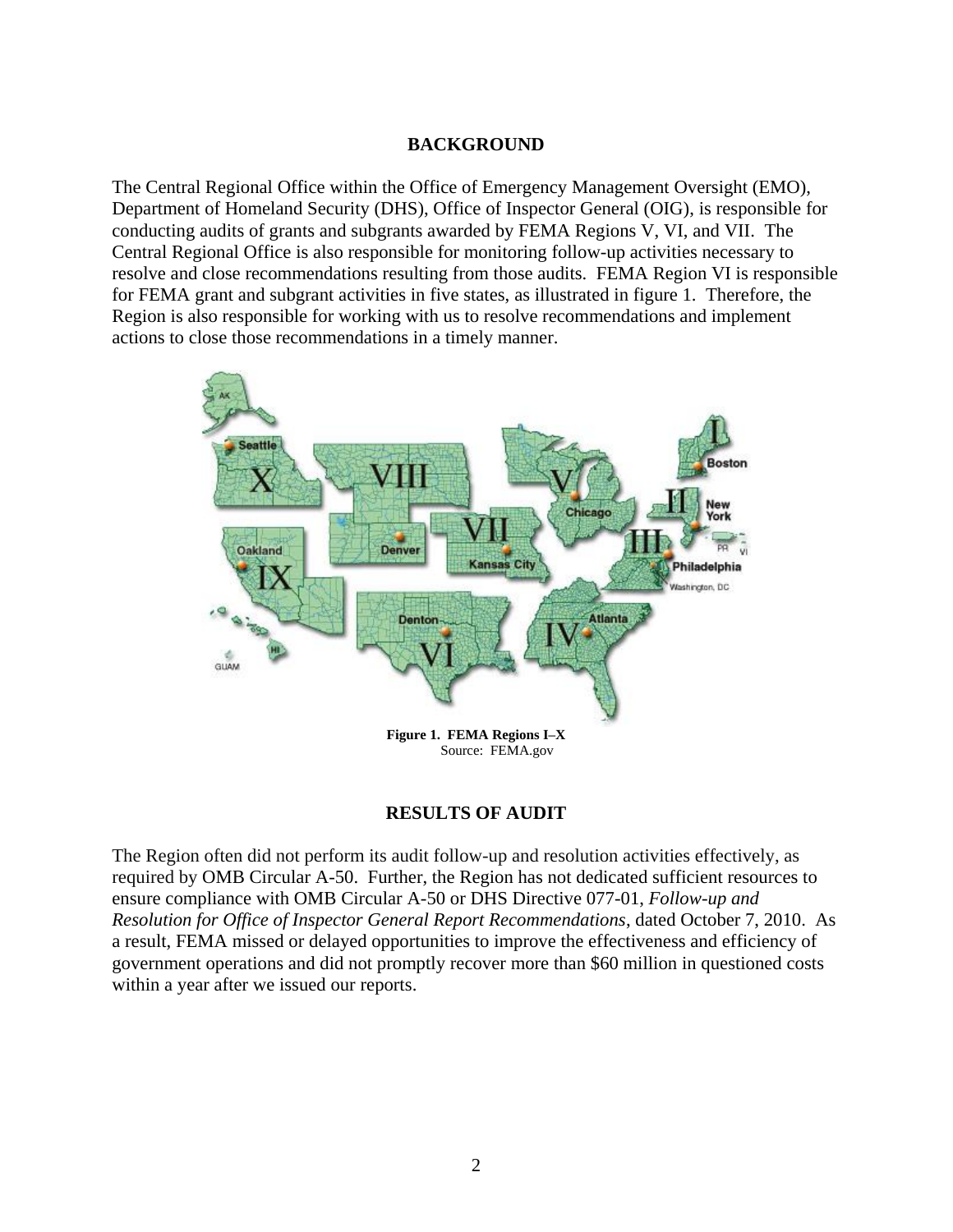#### **BACKGROUND**

 The Central Regional Office within the Office of Emergency Management Oversight (EMO), Department of Homeland Security (DHS), Office of Inspector General (OIG), is responsible for conducting audits of grants and subgrants awarded by FEMA Regions V, VI, and VII. The Central Regional Office is also responsible for monitoring follow-up activities necessary to resolve and close recommendations resulting from those audits. FEMA Region VI is responsible for FEMA grant and subgrant activities in five states, as illustrated in figure 1. Therefore, the Region is also responsible for working with us to resolve recommendations and implement actions to close those recommendations in a timely manner.



# **RESULTS OF AUDIT**

 government operations and did not promptly recover more than \$60 million in questioned costs The Region often did not perform its audit follow-up and resolution activities effectively, as required by OMB Circular A-50. Further, the Region has not dedicated sufficient resources to ensure compliance with OMB Circular A-50 or DHS Directive 077-01, *Follow-up and Resolution for Office of Inspector General Report Recommendations*, dated October 7, 2010. As a result, FEMA missed or delayed opportunities to improve the effectiveness and efficiency of within a year after we issued our reports.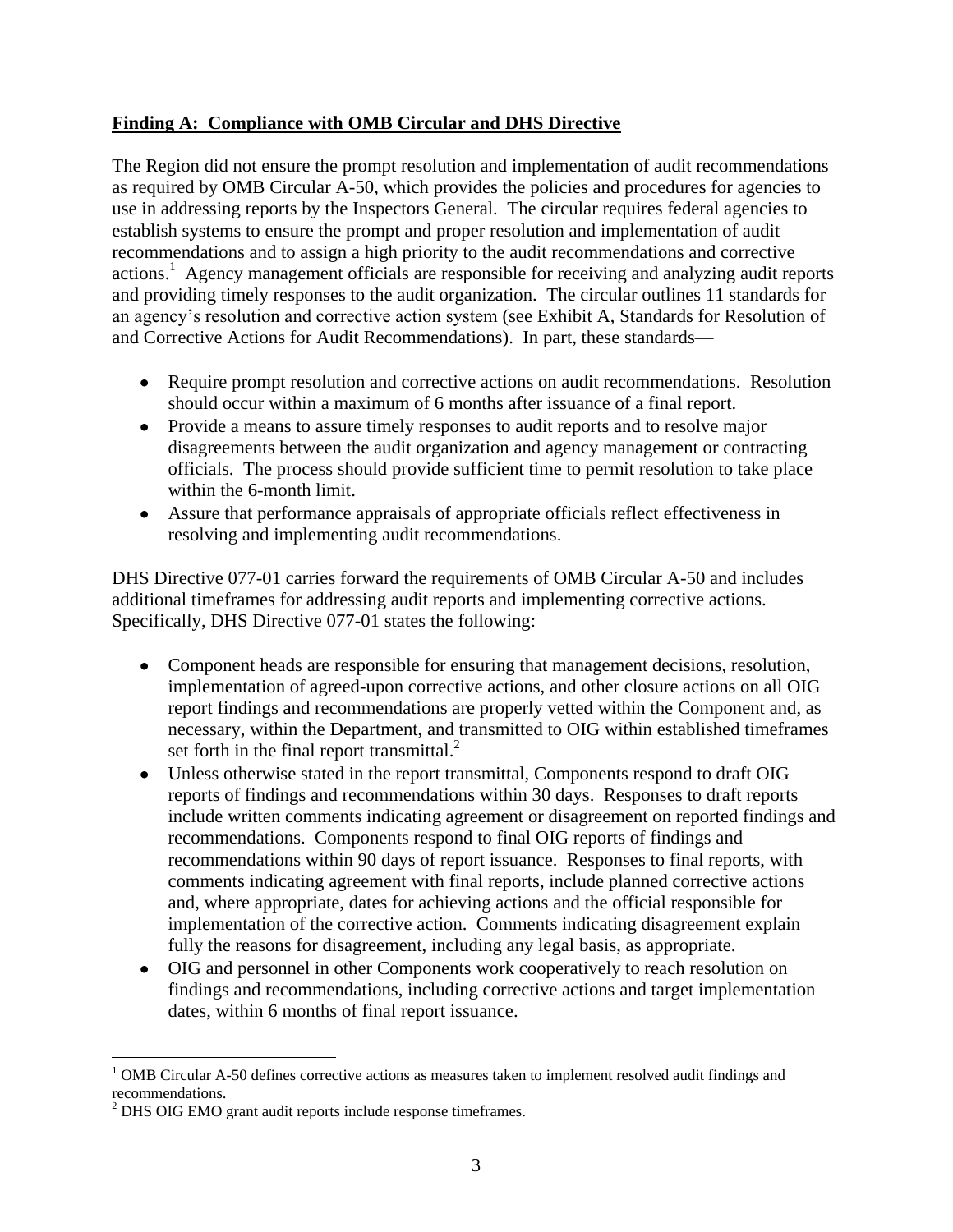# **Finding A: Compliance with OMB Circular and DHS Directive**

The Region did not ensure the prompt resolution and implementation of audit recommendations as required by OMB Circular A-50, which provides the policies and procedures for agencies to use in addressing reports by the Inspectors General. The circular requires federal agencies to establish systems to ensure the prompt and proper resolution and implementation of audit recommendations and to assign a high priority to the audit recommendations and corrective actions.<sup>1</sup> Agency management officials are responsible for receiving and analyzing audit reports and providing timely responses to the audit organization. The circular outlines 11 standards for an agency's resolution and corrective action system (see Exhibit A, Standards for Resolution of and Corrective Actions for Audit Recommendations). In part, these standards—

- Require prompt resolution and corrective actions on audit recommendations. Resolution should occur within a maximum of 6 months after issuance of a final report.
- Provide a means to assure timely responses to audit reports and to resolve major disagreements between the audit organization and agency management or contracting officials. The process should provide sufficient time to permit resolution to take place within the 6-month limit.
- Assure that performance appraisals of appropriate officials reflect effectiveness in resolving and implementing audit recommendations.

DHS Directive 077-01 carries forward the requirements of OMB Circular A-50 and includes additional timeframes for addressing audit reports and implementing corrective actions. Specifically, DHS Directive 077-01 states the following:

- Component heads are responsible for ensuring that management decisions, resolution, implementation of agreed-upon corrective actions, and other closure actions on all OIG report findings and recommendations are properly vetted within the Component and, as necessary, within the Department, and transmitted to OIG within established timeframes set forth in the final report transmittal. $^{2}$
- Unless otherwise stated in the report transmittal, Components respond to draft OIG reports of findings and recommendations within 30 days. Responses to draft reports include written comments indicating agreement or disagreement on reported findings and recommendations. Components respond to final OIG reports of findings and recommendations within 90 days of report issuance. Responses to final reports, with comments indicating agreement with final reports, include planned corrective actions and, where appropriate, dates for achieving actions and the official responsible for implementation of the corrective action. Comments indicating disagreement explain fully the reasons for disagreement, including any legal basis, as appropriate.
- OIG and personnel in other Components work cooperatively to reach resolution on findings and recommendations, including corrective actions and target implementation dates, within 6 months of final report issuance.

 $\overline{a}$  $<sup>1</sup>$  OMB Circular A-50 defines corrective actions as measures taken to implement resolved audit findings and</sup> recommendations.

recommendations.<br><sup>2</sup> DHS OIG EMO grant audit reports include response timeframes.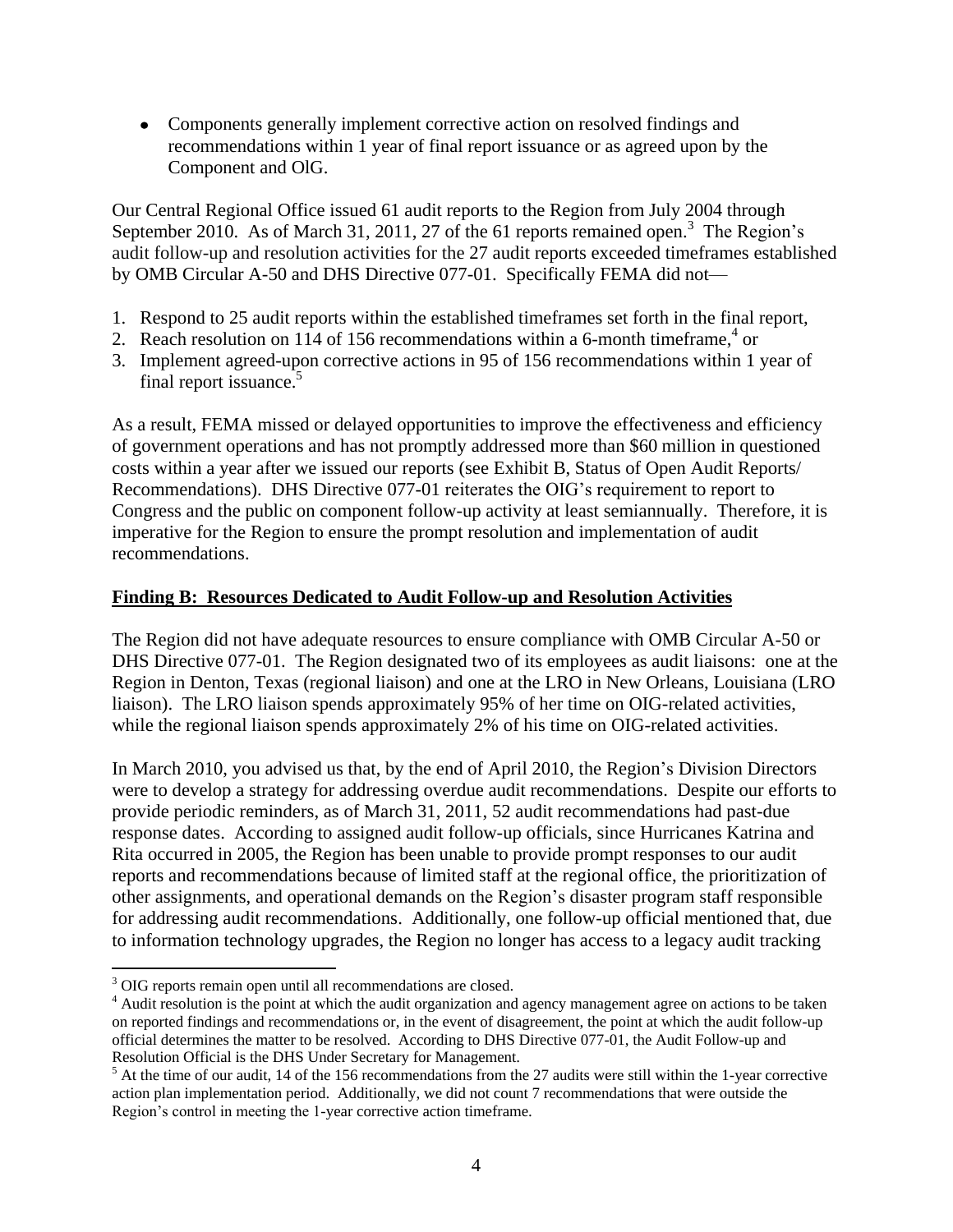Components generally implement corrective action on resolved findings and recommendations within 1 year of final report issuance or as agreed upon by the Component and OlG.

Our Central Regional Office issued 61 audit reports to the Region from July 2004 through September 2010. As of March 31, 2011, 27 of the 61 reports remained open.<sup>3</sup> The Region's audit follow-up and resolution activities for the 27 audit reports exceeded timeframes established by OMB Circular A-50 and DHS Directive 077-01. Specifically FEMA did not—

- 1. Respond to 25 audit reports within the established timeframes set forth in the final report,
- 2. Reach resolution on 114 of 156 recommendations within a 6-month timeframe,  $4\sigma$
- 3. Implement agreed-upon corrective actions in 95 of 156 recommendations within 1 year of final report issuance.<sup>5</sup>

As a result, FEMA missed or delayed opportunities to improve the effectiveness and efficiency of government operations and has not promptly addressed more than \$60 million in questioned costs within a year after we issued our reports (see Exhibit B, Status of Open Audit Reports/ Recommendations). DHS Directive 077-01 reiterates the OIG's requirement to report to Congress and the public on component follow-up activity at least semiannually. Therefore, it is imperative for the Region to ensure the prompt resolution and implementation of audit recommendations.

## **Finding B: Resources Dedicated to Audit Follow-up and Resolution Activities**

The Region did not have adequate resources to ensure compliance with OMB Circular A-50 or DHS Directive 077-01. The Region designated two of its employees as audit liaisons: one at the Region in Denton, Texas (regional liaison) and one at the LRO in New Orleans, Louisiana (LRO liaison). The LRO liaison spends approximately 95% of her time on OIG-related activities, while the regional liaison spends approximately 2% of his time on OIG-related activities.

 Rita occurred in 2005, the Region has been unable to provide prompt responses to our audit reports and recommendations because of limited staff at the regional office, the prioritization of other assignments, and operational demands on the Region's disaster program staff responsible for addressing audit recommendations. Additionally, one follow-up official mentioned that, due to information technology upgrades, the Region no longer has access to a legacy audit tracking In March 2010, you advised us that, by the end of April 2010, the Region's Division Directors were to develop a strategy for addressing overdue audit recommendations. Despite our efforts to provide periodic reminders, as of March 31, 2011, 52 audit recommendations had past-due response dates. According to assigned audit follow-up officials, since Hurricanes Katrina and

 $\overline{a}$ 

<sup>&</sup>lt;sup>3</sup> OIG reports remain open until all recommendations are closed.

 $4$  Audit resolution is the point at which the audit organization and agency management agree on actions to be taken on reported findings and recommendations or, in the event of disagreement, the point at which the audit follow-up official determines the matter to be resolved. According to DHS Directive 077-01, the Audit Follow-up and Resolution Official is the DHS Under Secretary for Management.

 action plan implementation period. Additionally, we did not count 7 recommendations that were outside the Region's control in meeting the 1-year corrective action timeframe.<br>4  $<sup>5</sup>$  At the time of our audit, 14 of the 156 recommendations from the 27 audits were still within the 1-year corrective</sup>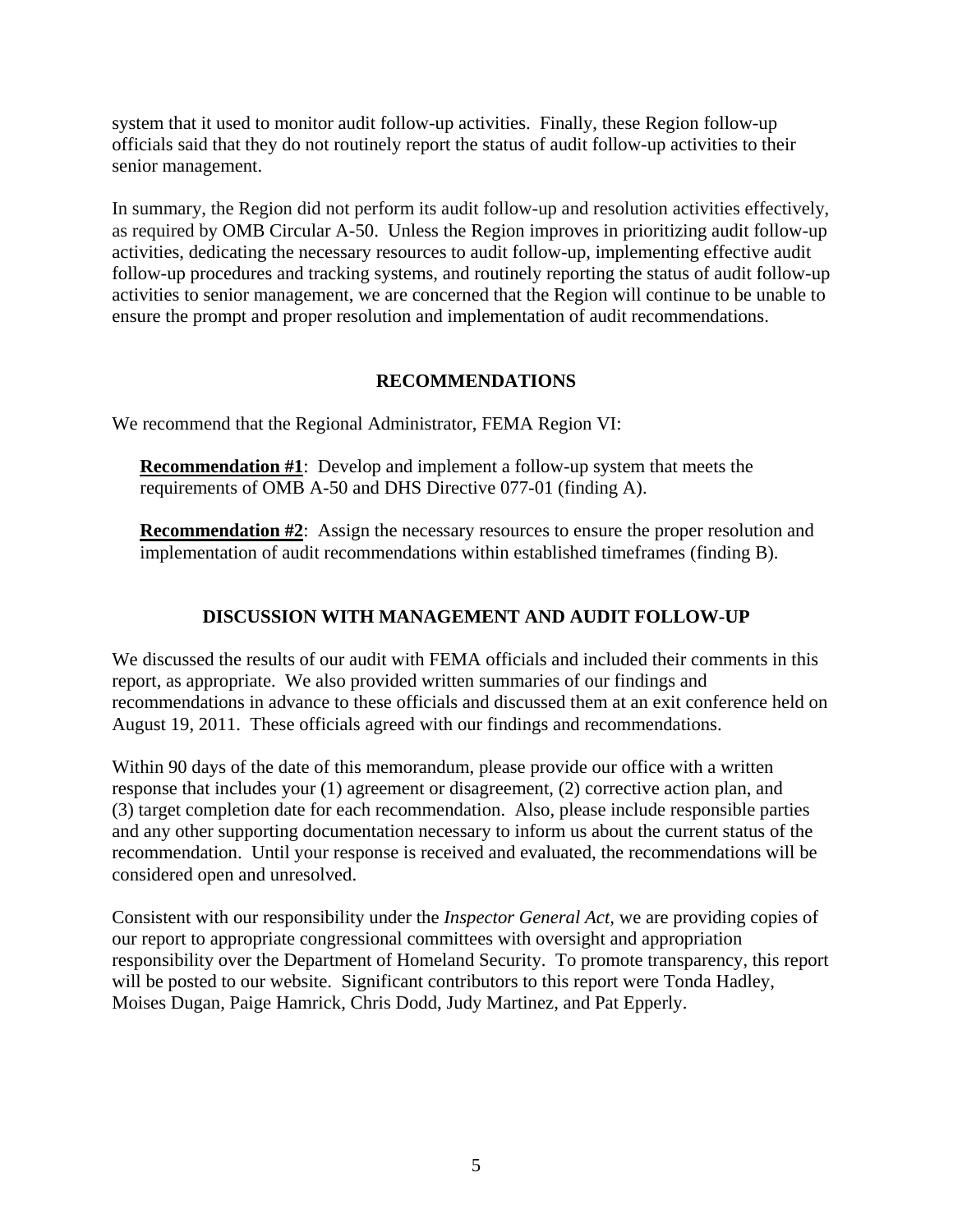officials said that they do not routinely report the status of audit follow-up activities to their senior management. system that it used to monitor audit follow-up activities. Finally, these Region follow-up

 ensure the prompt and proper resolution and implementation of audit recommendations. In summary, the Region did not perform its audit follow-up and resolution activities effectively, as required by OMB Circular A-50. Unless the Region improves in prioritizing audit follow-up activities, dedicating the necessary resources to audit follow-up, implementing effective audit follow-up procedures and tracking systems, and routinely reporting the status of audit follow-up activities to senior management, we are concerned that the Region will continue to be unable to

## **RECOMMENDATIONS**

We recommend that the Regional Administrator, FEMA Region VI:

**Recommendation #1**: Develop and implement a follow-up system that meets the requirements of OMB A-50 and DHS Directive 077-01 (finding A).

**Recommendation #2:** Assign the necessary resources to ensure the proper resolution and implementation of audit recommendations within established timeframes (finding B).

# **DISCUSSION WITH MANAGEMENT AND AUDIT FOLLOW-UP**

We discussed the results of our audit with FEMA officials and included their comments in this report, as appropriate. We also provided written summaries of our findings and recommendations in advance to these officials and discussed them at an exit conference held on August 19, 2011. These officials agreed with our findings and recommendations.

Within 90 days of the date of this memorandum, please provide our office with a written response that includes your (1) agreement or disagreement, (2) corrective action plan, and (3) target completion date for each recommendation. Also, please include responsible parties and any other supporting documentation necessary to inform us about the current status of the recommendation. Until your response is received and evaluated, the recommendations will be considered open and unresolved.

 will be posted to our website. Significant contributors to this report were Tonda Hadley, Moises Dugan, Paige Hamrick, Chris Dodd, Judy Martinez, and Pat Epperly. Consistent with our responsibility under the *Inspector General Act,* we are providing copies of our report to appropriate congressional committees with oversight and appropriation responsibility over the Department of Homeland Security. To promote transparency, this report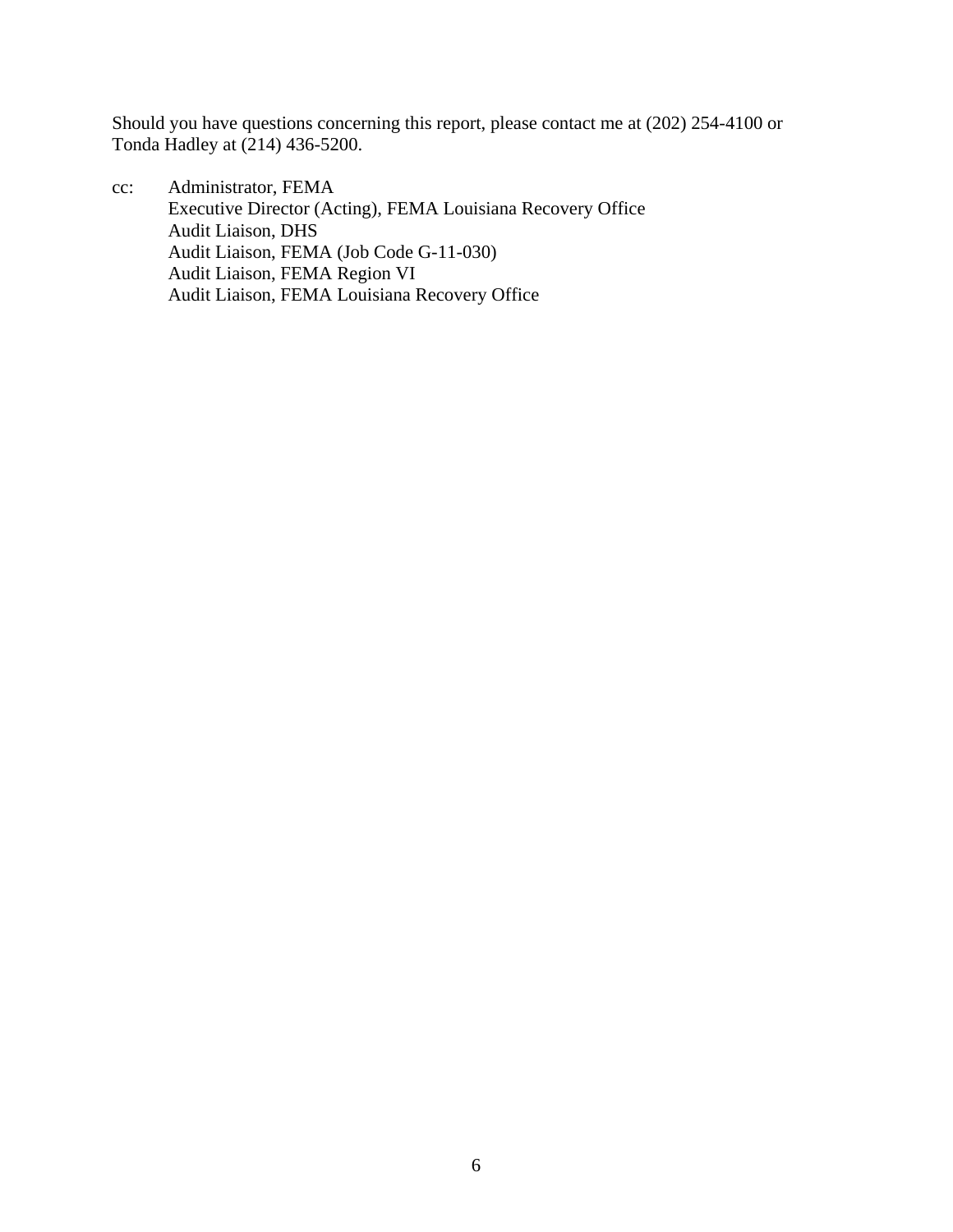Should you have questions concerning this report, please contact me at (202) 254-4100 or Tonda Hadley at (214) 436-5200.

cc: Administrator, FEMA Executive Director (Acting), FEMA Louisiana Recovery Office Audit Liaison, DHS Audit Liaison, FEMA (Job Code G-11-030) Audit Liaison, FEMA Region VI Audit Liaison, FEMA Louisiana Recovery Office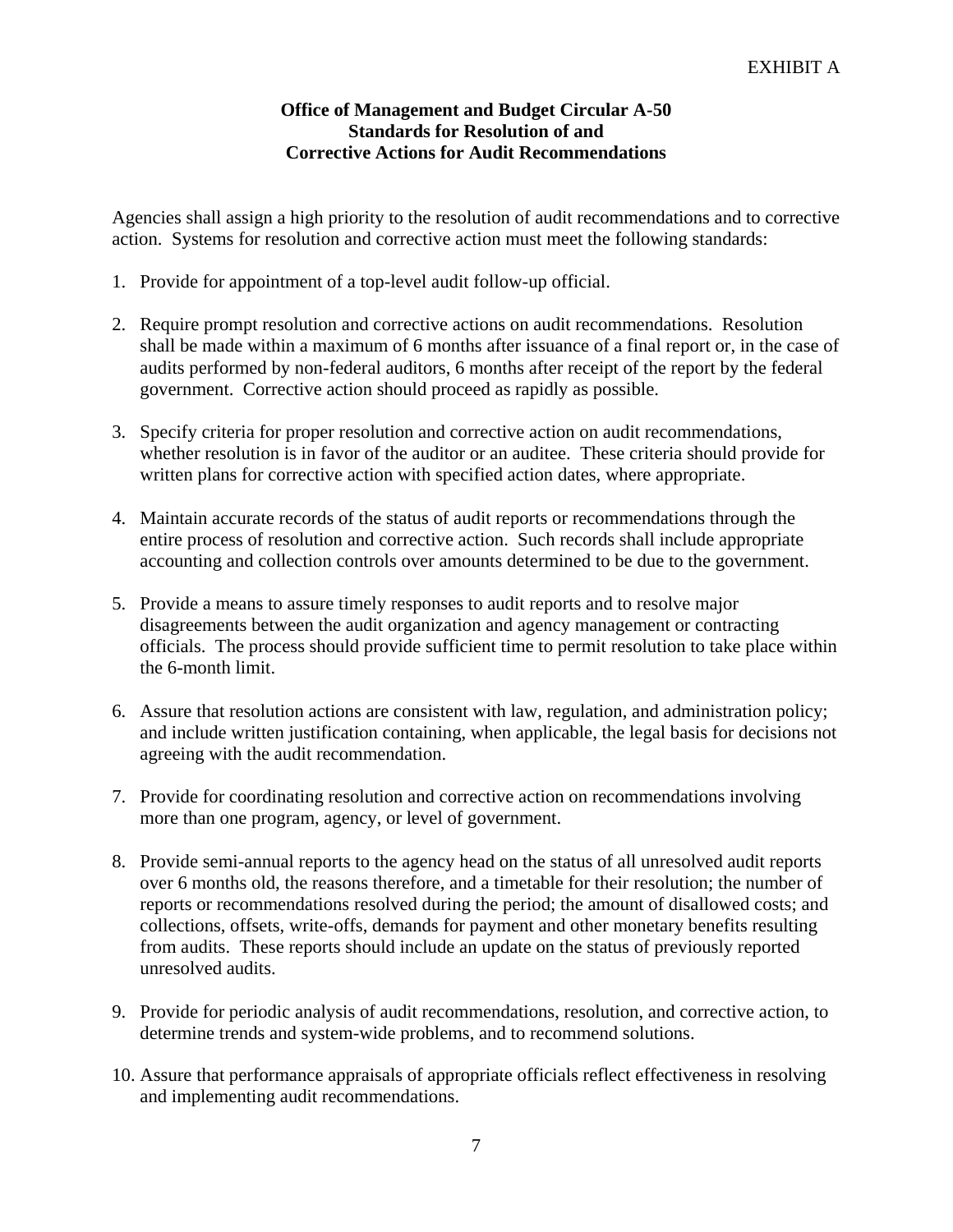### **Office of Management and Budget Circular A-50 Standards for Resolution of and Corrective Actions for Audit Recommendations**

Agencies shall assign a high priority to the resolution of audit recommendations and to corrective action. Systems for resolution and corrective action must meet the following standards:

- 1. Provide for appointment of a top-level audit follow-up official.
- 2. Require prompt resolution and corrective actions on audit recommendations. Resolution shall be made within a maximum of 6 months after issuance of a final report or, in the case of audits performed by non-federal auditors, 6 months after receipt of the report by the federal government. Corrective action should proceed as rapidly as possible.
- 3. Specify criteria for proper resolution and corrective action on audit recommendations, whether resolution is in favor of the auditor or an auditee. These criteria should provide for written plans for corrective action with specified action dates, where appropriate.
- 4. Maintain accurate records of the status of audit reports or recommendations through the entire process of resolution and corrective action. Such records shall include appropriate accounting and collection controls over amounts determined to be due to the government.
- 5. Provide a means to assure timely responses to audit reports and to resolve major disagreements between the audit organization and agency management or contracting officials. The process should provide sufficient time to permit resolution to take place within the 6-month limit.
- 6. Assure that resolution actions are consistent with law, regulation, and administration policy; and include written justification containing, when applicable, the legal basis for decisions not agreeing with the audit recommendation.
- 7. Provide for coordinating resolution and corrective action on recommendations involving more than one program, agency, or level of government.
- over 6 months old, the reasons therefore, and a timetable for their resolution; the number of 8. Provide semi-annual reports to the agency head on the status of all unresolved audit reports reports or recommendations resolved during the period; the amount of disallowed costs; and collections, offsets, write-offs, demands for payment and other monetary benefits resulting from audits. These reports should include an update on the status of previously reported unresolved audits.
- 9. Provide for periodic analysis of audit recommendations, resolution, and corrective action, to determine trends and system-wide problems, and to recommend solutions.
- 10. Assure that performance appraisals of appropriate officials reflect effectiveness in resolving and implementing audit recommendations.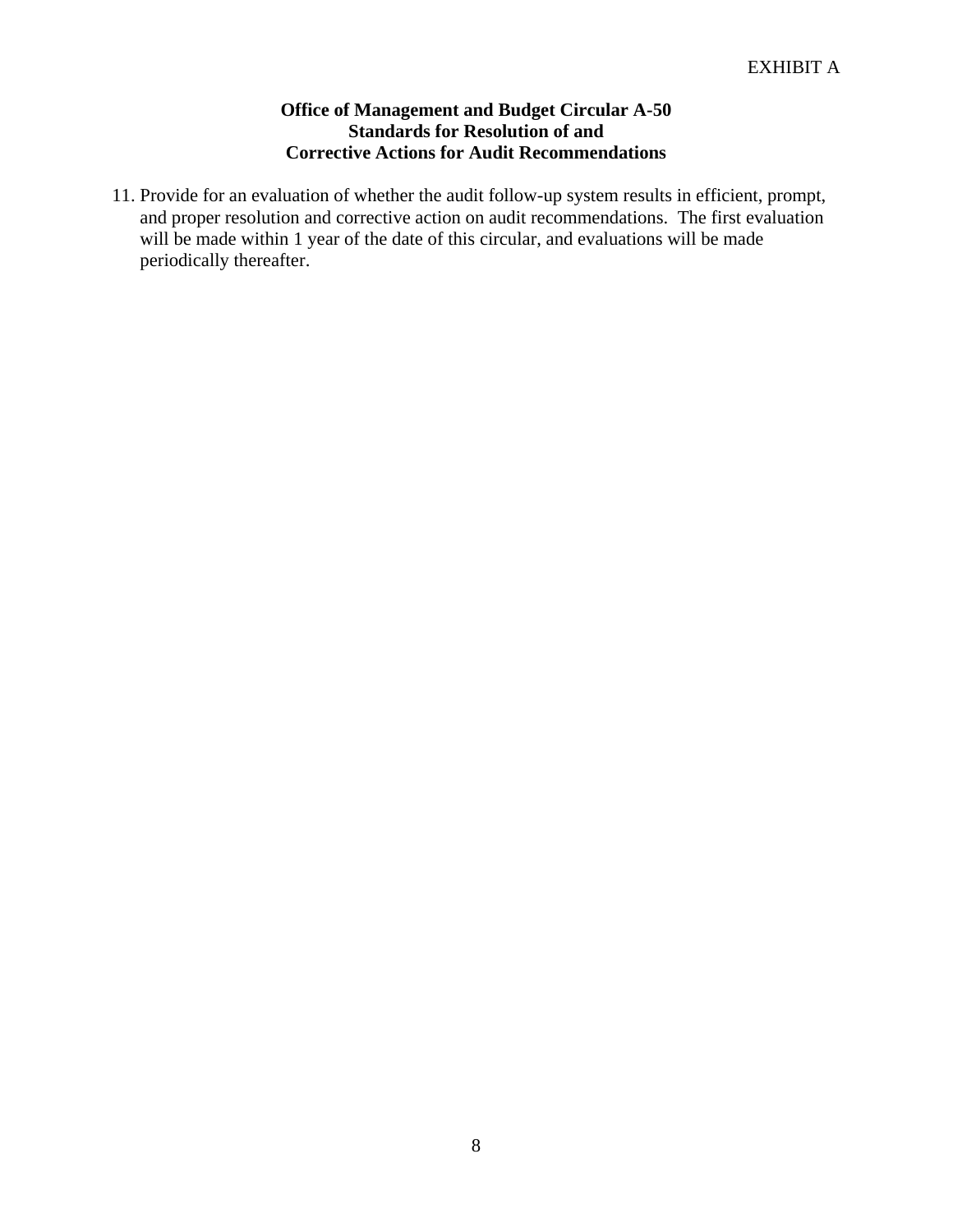### **Office of Management and Budget Circular A-50 Standards for Resolution of and Corrective Actions for Audit Recommendations**

11. Provide for an evaluation of whether the audit follow-up system results in efficient, prompt, and proper resolution and corrective action on audit recommendations. The first evaluation will be made within 1 year of the date of this circular, and evaluations will be made periodically thereafter.